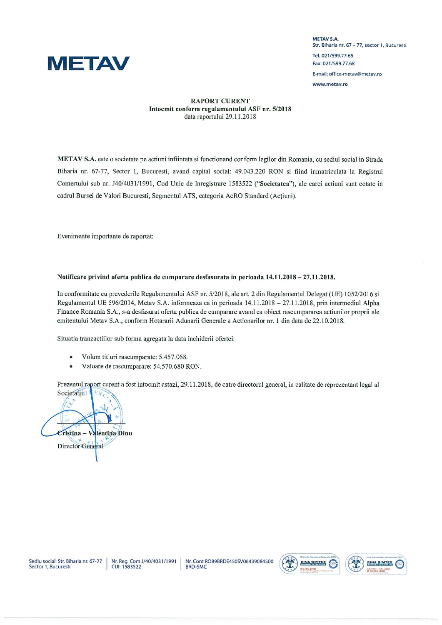

**METAV S.A.** Str. Biharia nr. 67 - 77, sector 1, Bucuresti www.metav.ro

## RAPORT CURENT Intocmit conform regulamentului ASF nr. 5/2018 data raportului 29.11.2018

METAY S.A. este o societate pe actiuni infiintata si thnctionand conform legilor din Romania, cu sediul social in Strada Biharia nr. 67-77, Sector 1, Bucuresti, avand capital social: 49.043.220 RON si fiind inmatriculata la Registrul Comertului sub nr. J40/4031/1991, Cod Unic de Inregistrare 1583522 ("Societatea"), ale carei actiuni sunt cotate in cadrul Bursei de Valori Bucuresti, Segmentul ATS, categoria AeRO Standard (Actiuni).

Evenimente importante de raportat:

## Notificare privind oferta publica de cumparare desfasurata in perioada 14.11.2018 - 27.11.2018.

In conformitate cu prevederile Regulamentului ASF nr. 5/2018, ale art. 2 din Regulamentul Delegat (UE) 1052/2016 si Regulamentul UE 596/2014, Metav S.A. informeaza ca in perioada 14.11.2018 - 27.11.2018, prin intermediul Alpha Finance Roniania S.A., s-a desfasurat oferta publica de cumparare avand ca obiect rascumpararea actiunilor proprii ale emitentului Metav S.A., conform Hotararii Adunarii Cienerale a Actionarilor nr. I din data de 22.10.2018.

Situatia tranzactiilor sub forma agregata la data inchiderii ofertei:

- Volum titluri rascumparate: 5.457.068.
- Valoare de rascumparare: 54.570.680 RON.

Prezentul raport curent a fost intocmit astazi, 29.11.2018, de catre directorul general, in calitate de reprezentant legal al